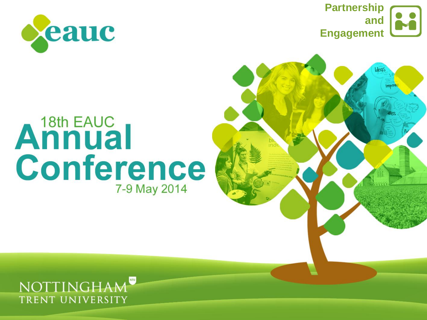





# Annual Conference 7-9 May 2014

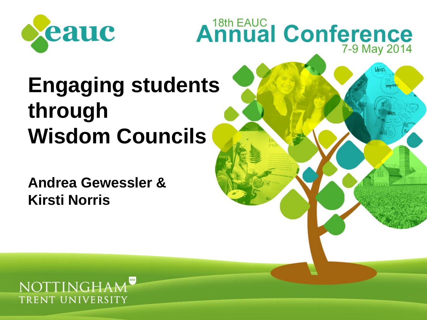



## **Engaging students through Wisdom Councils**

**Andrea Gewessler & Kirsti Norris**

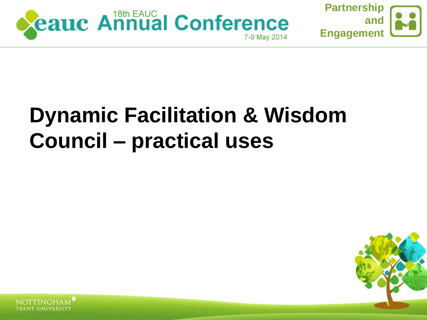



### **Dynamic Facilitation & Wisdom Council – practical uses**



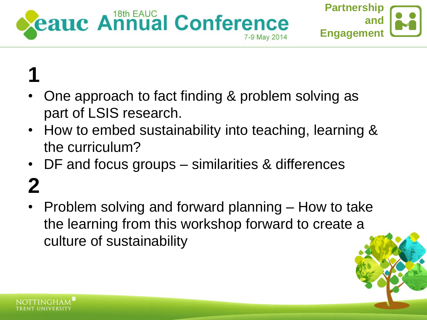



#### **1** • One approach to fact finding & problem solving as part of LSIS research.

- How to embed sustainability into teaching, learning & the curriculum?
- DF and focus groups similarities & differences

## **2**

• Problem solving and forward planning – How to take the learning from this workshop forward to create a culture of sustainability



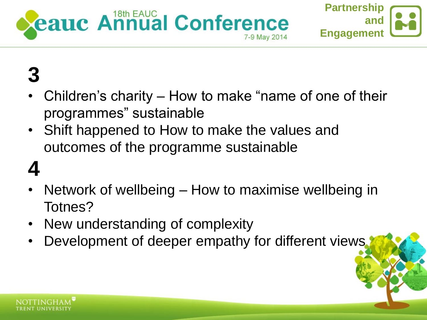



#### **3**

- Children's charity How to make "name of one of their programmes" sustainable
- Shift happened to How to make the values and outcomes of the programme sustainable

#### **4**

- Network of wellbeing How to maximise wellbeing in Totnes?
- New understanding of complexity
- Development of deeper empathy for different views.

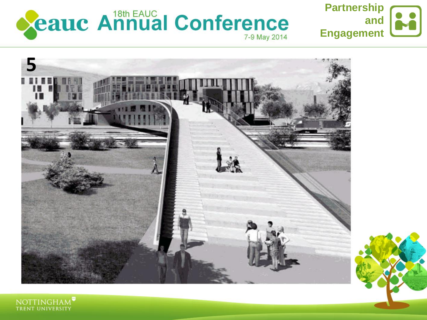







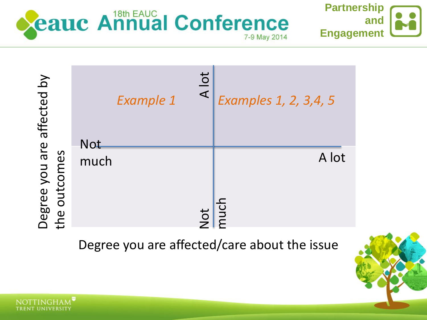

**NOTTINGH** 





Degree you are affected/care about the issue

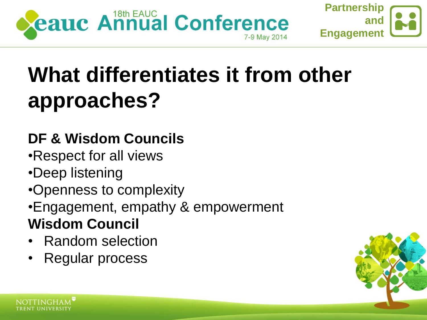



## **What differentiates it from other approaches?**

#### **DF & Wisdom Councils**

- •Respect for all views
- •Deep listening
- •Openness to complexity
- •Engagement, empathy & empowerment **Wisdom Council**
- Random selection
- Regular process

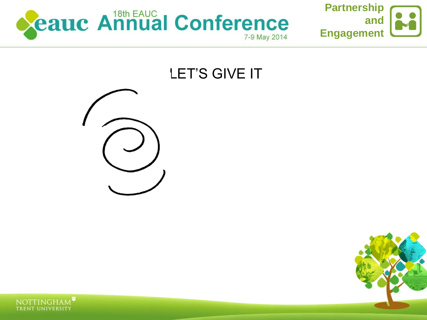



#### LET'S GIVE IT





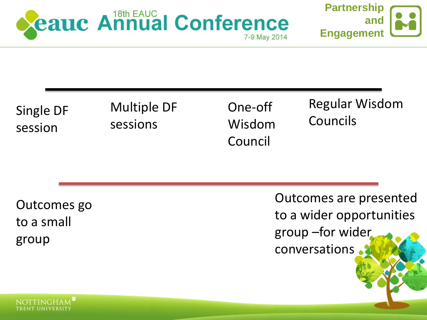



Single DF session

Multiple DF sessions

One-off Wisdom Council

Regular Wisdom Councils

Outcomes go to a small group

Outcomes are presented to a wider opportunities group –for wider conversations

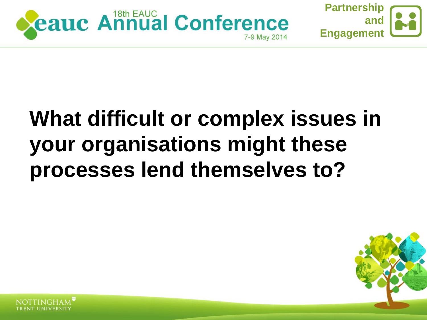



### **What difficult or complex issues in your organisations might these processes lend themselves to?**



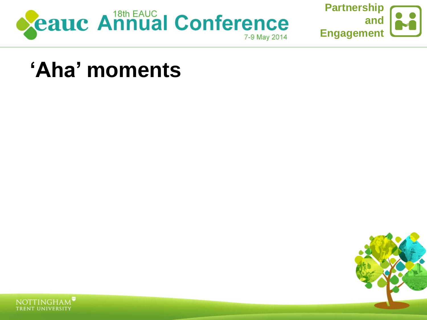



#### 'Aha' moments